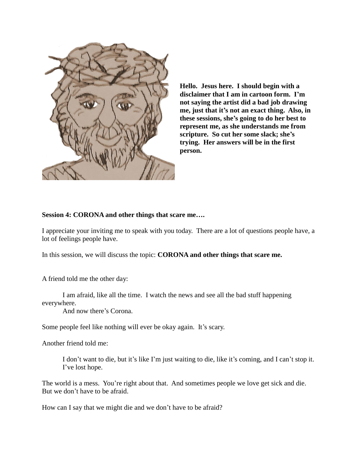

**Hello. Jesus here. I should begin with a disclaimer that I am in cartoon form. I'm not saying the artist did a bad job drawing me, just that it's not an exact thing. Also, in these sessions, she's going to do her best to represent me, as she understands me from scripture. So cut her some slack; she's trying. Her answers will be in the first person.** 

## **Session 4: CORONA and other things that scare me….**

I appreciate your inviting me to speak with you today. There are a lot of questions people have, a lot of feelings people have.

In this session, we will discuss the topic: **CORONA and other things that scare me.**

A friend told me the other day:

I am afraid, like all the time. I watch the news and see all the bad stuff happening everywhere.

And now there's Corona.

Some people feel like nothing will ever be okay again. It's scary.

Another friend told me:

I don't want to die, but it's like I'm just waiting to die, like it's coming, and I can't stop it. I've lost hope.

The world is a mess. You're right about that. And sometimes people we love get sick and die. But we don't have to be afraid.

How can I say that we might die and we don't have to be afraid?